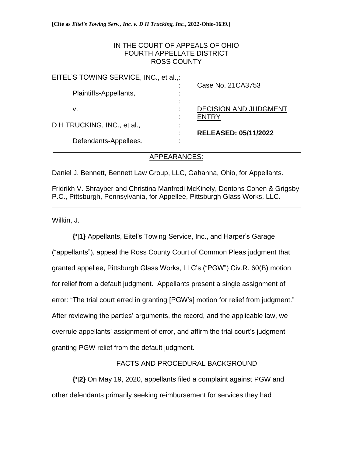## IN THE COURT OF APPEALS OF OHIO FOURTH APPELLATE DISTRICT ROSS COUNTY

| EITEL'S TOWING SERVICE, INC., et al.,: |                              |
|----------------------------------------|------------------------------|
| Plaintiffs-Appellants,                 | Case No. 21 CA3753           |
|                                        |                              |
|                                        |                              |
| v.                                     | <b>DECISION AND JUDGMENT</b> |
|                                        | ENTRY                        |
| D H TRUCKING, INC., et al.,            |                              |
|                                        | <b>RELEASED: 05/11/2022</b>  |
| Defendants-Appellees.                  |                              |
|                                        |                              |

## APPEARANCES:

Daniel J. Bennett, Bennett Law Group, LLC, Gahanna, Ohio, for Appellants.

Fridrikh V. Shrayber and Christina Manfredi McKinely, Dentons Cohen & Grigsby P.C., Pittsburgh, Pennsylvania, for Appellee, Pittsburgh Glass Works, LLC.

i<br>L

Wilkin, J.

**{¶1}** Appellants, Eitel's Towing Service, Inc., and Harper's Garage ("appellants"), appeal the Ross County Court of Common Pleas judgment that granted appellee, Pittsburgh Glass Works, LLC's ("PGW") Civ.R. 60(B) motion for relief from a default judgment. Appellants present a single assignment of error: "The trial court erred in granting [PGW's] motion for relief from judgment." After reviewing the parties' arguments, the record, and the applicable law, we overrule appellants' assignment of error, and affirm the trial court's judgment granting PGW relief from the default judgment.

## FACTS AND PROCEDURAL BACKGROUND

**{¶2}** On May 19, 2020, appellants filed a complaint against PGW and other defendants primarily seeking reimbursement for services they had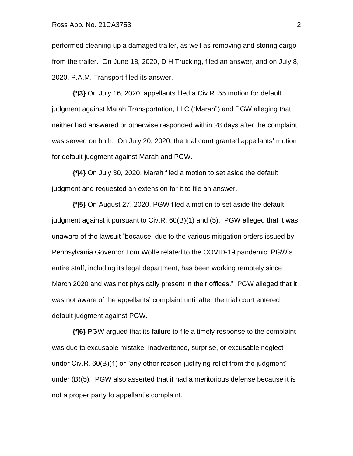performed cleaning up a damaged trailer, as well as removing and storing cargo from the trailer. On June 18, 2020, D H Trucking, filed an answer, and on July 8, 2020, P.A.M. Transport filed its answer.

**{¶3}** On July 16, 2020, appellants filed a Civ.R. 55 motion for default judgment against Marah Transportation, LLC ("Marah") and PGW alleging that neither had answered or otherwise responded within 28 days after the complaint was served on both. On July 20, 2020, the trial court granted appellants' motion for default judgment against Marah and PGW.

**{¶4}** On July 30, 2020, Marah filed a motion to set aside the default judgment and requested an extension for it to file an answer.

**{¶5}** On August 27, 2020, PGW filed a motion to set aside the default judgment against it pursuant to Civ.R. 60(B)(1) and (5). PGW alleged that it was unaware of the lawsuit "because, due to the various mitigation orders issued by Pennsylvania Governor Tom Wolfe related to the COVID-19 pandemic, PGW's entire staff, including its legal department, has been working remotely since March 2020 and was not physically present in their offices." PGW alleged that it was not aware of the appellants' complaint until after the trial court entered default judgment against PGW.

**{¶6}** PGW argued that its failure to file a timely response to the complaint was due to excusable mistake, inadvertence, surprise, or excusable neglect under Civ.R. 60(B)(1) or "any other reason justifying relief from the judgment" under (B)(5). PGW also asserted that it had a meritorious defense because it is not a proper party to appellant's complaint.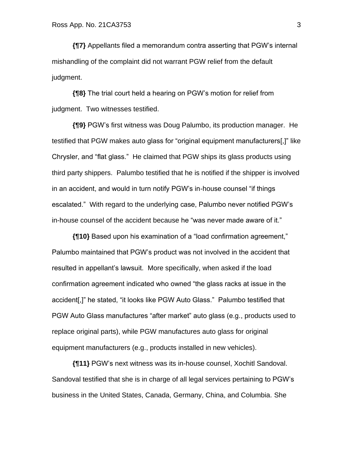**{¶7}** Appellants filed a memorandum contra asserting that PGW's internal mishandling of the complaint did not warrant PGW relief from the default judgment.

**{¶8}** The trial court held a hearing on PGW's motion for relief from judgment. Two witnesses testified.

**{¶9}** PGW's first witness was Doug Palumbo, its production manager. He testified that PGW makes auto glass for "original equipment manufacturers[,]" like Chrysler, and "flat glass." He claimed that PGW ships its glass products using third party shippers. Palumbo testified that he is notified if the shipper is involved in an accident, and would in turn notify PGW's in-house counsel "if things escalated." With regard to the underlying case, Palumbo never notified PGW's in-house counsel of the accident because he "was never made aware of it."

**{¶10}** Based upon his examination of a "load confirmation agreement," Palumbo maintained that PGW's product was not involved in the accident that resulted in appellant's lawsuit. More specifically, when asked if the load confirmation agreement indicated who owned "the glass racks at issue in the accident[,]" he stated, "it looks like PGW Auto Glass." Palumbo testified that PGW Auto Glass manufactures "after market" auto glass (e.g., products used to replace original parts), while PGW manufactures auto glass for original equipment manufacturers (e.g., products installed in new vehicles).

**{¶11}** PGW's next witness was its in-house counsel, Xochitl Sandoval. Sandoval testified that she is in charge of all legal services pertaining to PGW's business in the United States, Canada, Germany, China, and Columbia. She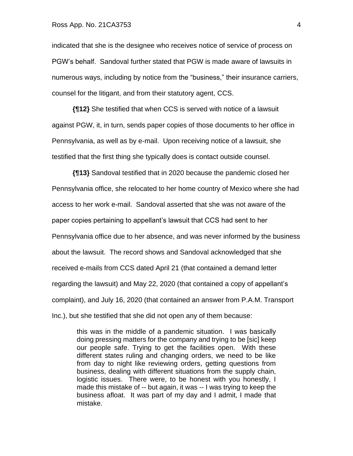indicated that she is the designee who receives notice of service of process on PGW's behalf. Sandoval further stated that PGW is made aware of lawsuits in numerous ways, including by notice from the "business," their insurance carriers, counsel for the litigant, and from their statutory agent, CCS.

**{¶12}** She testified that when CCS is served with notice of a lawsuit against PGW, it, in turn, sends paper copies of those documents to her office in Pennsylvania, as well as by e-mail. Upon receiving notice of a lawsuit, she testified that the first thing she typically does is contact outside counsel.

**{¶13}** Sandoval testified that in 2020 because the pandemic closed her Pennsylvania office, she relocated to her home country of Mexico where she had access to her work e-mail. Sandoval asserted that she was not aware of the paper copies pertaining to appellant's lawsuit that CCS had sent to her Pennsylvania office due to her absence, and was never informed by the business about the lawsuit. The record shows and Sandoval acknowledged that she received e-mails from CCS dated April 21 (that contained a demand letter regarding the lawsuit) and May 22, 2020 (that contained a copy of appellant's complaint), and July 16, 2020 (that contained an answer from P.A.M. Transport Inc.), but she testified that she did not open any of them because:

this was in the middle of a pandemic situation. I was basically doing pressing matters for the company and trying to be [sic] keep our people safe. Trying to get the facilities open. With these different states ruling and changing orders, we need to be like from day to night like reviewing orders, getting questions from business, dealing with different situations from the supply chain, logistic issues. There were, to be honest with you honestly, I made this mistake of -- but again, it was -- I was trying to keep the business afloat. It was part of my day and I admit, I made that mistake.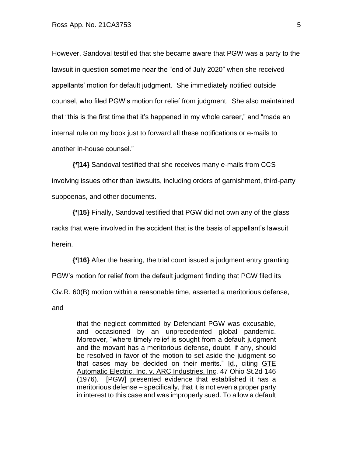However, Sandoval testified that she became aware that PGW was a party to the lawsuit in question sometime near the "end of July 2020" when she received appellants' motion for default judgment. She immediately notified outside counsel, who filed PGW's motion for relief from judgment. She also maintained that "this is the first time that it's happened in my whole career," and "made an internal rule on my book just to forward all these notifications or e-mails to another in-house counsel."

**{¶14}** Sandoval testified that she receives many e-mails from CCS involving issues other than lawsuits, including orders of garnishment, third-party subpoenas, and other documents.

**{¶15}** Finally, Sandoval testified that PGW did not own any of the glass racks that were involved in the accident that is the basis of appellant's lawsuit herein.

**{¶16}** After the hearing, the trial court issued a judgment entry granting PGW's motion for relief from the default judgment finding that PGW filed its Civ.R. 60(B) motion within a reasonable time, asserted a meritorious defense, and

> that the neglect committed by Defendant PGW was excusable, and occasioned by an unprecedented global pandemic. Moreover, "where timely relief is sought from a default judgment and the movant has a meritorious defense, doubt, if any, should be resolved in favor of the motion to set aside the judgment so that cases may be decided on their merits."  $Id$ , citing  $GTE$ Automatic Electric, Inc. v. ARC Industries, Inc. 47 Ohio St.2d 146 (1976). [PGW] presented evidence that established it has a meritorious defense – specifically, that it is not even a proper party in interest to this case and was improperly sued. To allow a default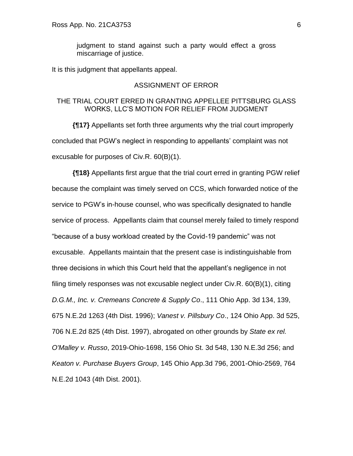judgment to stand against such a party would effect a gross miscarriage of justice.

It is this judgment that appellants appeal.

### ASSIGNMENT OF ERROR

### THE TRIAL COURT ERRED IN GRANTING APPELLEE PITTSBURG GLASS WORKS, LLC'S MOTION FOR RELIEF FROM JUDGMENT

**{¶17}** Appellants set forth three arguments why the trial court improperly concluded that PGW's neglect in responding to appellants' complaint was not excusable for purposes of Civ.R. 60(B)(1).

**{¶18}** Appellants first argue that the trial court erred in granting PGW relief because the complaint was timely served on CCS, which forwarded notice of the service to PGW's in-house counsel, who was specifically designated to handle service of process. Appellants claim that counsel merely failed to timely respond "because of a busy workload created by the Covid-19 pandemic" was not excusable. Appellants maintain that the present case is indistinguishable from three decisions in which this Court held that the appellant's negligence in not filing timely responses was not excusable neglect under Civ.R. 60(B)(1), citing *D.G.M., Inc. v. Cremeans Concrete & Supply Co*., 111 Ohio App. 3d 134, 139, 675 N.E.2d 1263 (4th Dist. 1996); *Vanest v. Pillsbury Co*., 124 Ohio App. 3d 525, 706 N.E.2d 825 (4th Dist. 1997), abrogated on other grounds by *State ex rel. O'Malley v. Russo*, 2019-Ohio-1698, 156 Ohio St. 3d 548, 130 N.E.3d 256; and *Keaton v. Purchase Buyers Group*, 145 Ohio App.3d 796, 2001-Ohio-2569, 764 N.E.2d 1043 (4th Dist. 2001).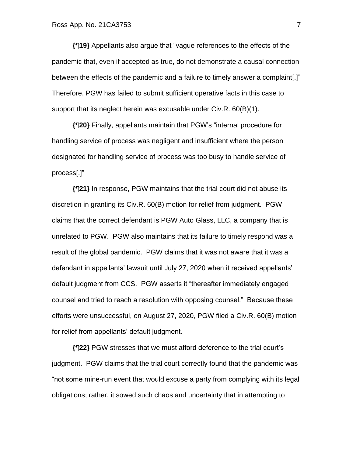**{¶19}** Appellants also argue that "vague references to the effects of the pandemic that, even if accepted as true, do not demonstrate a causal connection between the effects of the pandemic and a failure to timely answer a complaint[.]" Therefore, PGW has failed to submit sufficient operative facts in this case to support that its neglect herein was excusable under Civ.R. 60(B)(1).

**{¶20}** Finally, appellants maintain that PGW's "internal procedure for handling service of process was negligent and insufficient where the person designated for handling service of process was too busy to handle service of process[.]"

**{¶21}** In response, PGW maintains that the trial court did not abuse its discretion in granting its Civ.R. 60(B) motion for relief from judgment. PGW claims that the correct defendant is PGW Auto Glass, LLC, a company that is unrelated to PGW. PGW also maintains that its failure to timely respond was a result of the global pandemic. PGW claims that it was not aware that it was a defendant in appellants' lawsuit until July 27, 2020 when it received appellants' default judgment from CCS. PGW asserts it "thereafter immediately engaged counsel and tried to reach a resolution with opposing counsel." Because these efforts were unsuccessful, on August 27, 2020, PGW filed a Civ.R. 60(B) motion for relief from appellants' default judgment.

**{¶22}** PGW stresses that we must afford deference to the trial court's judgment. PGW claims that the trial court correctly found that the pandemic was "not some mine-run event that would excuse a party from complying with its legal obligations; rather, it sowed such chaos and uncertainty that in attempting to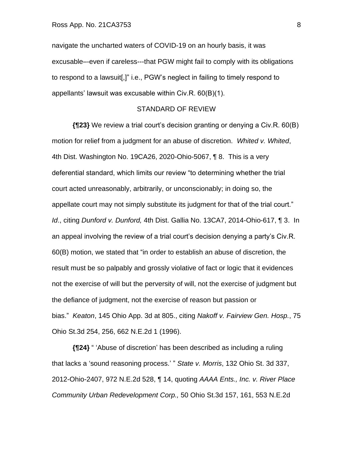navigate the uncharted waters of COVID-19 on an hourly basis, it was excusable–-even if careless---that PGW might fail to comply with its obligations to respond to a lawsuit[,]" i.e., PGW's neglect in failing to timely respond to appellants' lawsuit was excusable within Civ.R. 60(B)(1).

#### STANDARD OF REVIEW

**{¶23}** We review a trial court's decision granting or denying a Civ.R. 60(B) motion for relief from a judgment for an abuse of discretion. *Whited v. Whited*, 4th Dist. Washington No. 19CA26, 2020-Ohio-5067, ¶ 8. This is a very deferential standard, which limits our review "to determining whether the trial court acted unreasonably, arbitrarily, or unconscionably; in doing so, the appellate court may not simply substitute its judgment for that of the trial court." *Id*., citing *Dunford v. Dunford,* 4th Dist. Gallia No. 13CA7, 2014-Ohio-617, ¶ 3. In an appeal involving the review of a trial court's decision denying a party's Civ.R. 60(B) motion, we stated that "in order to establish an abuse of discretion, the result must be so palpably and grossly violative of fact or logic that it evidences not the exercise of will but the perversity of will, not the exercise of judgment but the defiance of judgment, not the exercise of reason but passion or bias." *Keaton*, 145 Ohio App. 3d at 805., citing *Nakoff v. Fairview Gen. Hosp.*, 75 Ohio St.3d 254, 256, 662 N.E.2d 1 (1996).

**{¶24}** " 'Abuse of discretion' has been described as including a ruling that lacks a 'sound reasoning process.' " *State v. Morris*, 132 Ohio St. 3d 337, 2012-Ohio-2407, 972 N.E.2d 528, ¶ 14, quoting *AAAA Ents., Inc. v. River Place Community Urban Redevelopment Corp.,* 50 Ohio St.3d 157, 161, 553 N.E.2d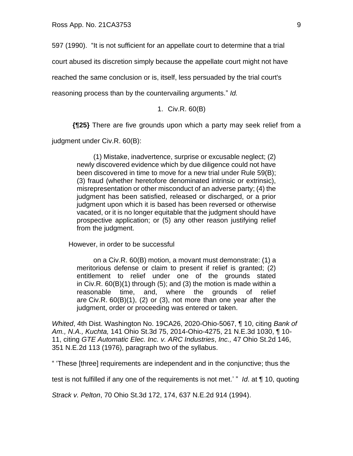597 (1990). "It is not sufficient for an appellate court to determine that a trial

court abused its discretion simply because the appellate court might not have

reached the same conclusion or is, itself, less persuaded by the trial court's

reasoning process than by the countervailing arguments." *Id.*

### 1. Civ.R. 60(B)

**{¶25}** There are five grounds upon which a party may seek relief from a

judgment under Civ.R. 60(B):

(1) Mistake, inadvertence, surprise or excusable neglect; (2) newly discovered evidence which by due diligence could not have been discovered in time to move for a new trial under Rule 59(B); (3) fraud (whether heretofore denominated intrinsic or extrinsic), misrepresentation or other misconduct of an adverse party; (4) the judgment has been satisfied, released or discharged, or a prior judgment upon which it is based has been reversed or otherwise vacated, or it is no longer equitable that the judgment should have prospective application; or (5) any other reason justifying relief from the judgment.

However, in order to be successful

on a Civ.R. 60(B) motion, a movant must demonstrate: (1) a meritorious defense or claim to present if relief is granted; (2) entitlement to relief under one of the grounds stated in Civ.R. 60(B)(1) through (5); and (3) the motion is made within a reasonable time, and, where the grounds of relief are Civ.R. 60(B)(1), (2) or (3), not more than one year after the judgment, order or proceeding was entered or taken.

*Whited*, 4th Dist. Washington No. 19CA26, 2020-Ohio-5067, ¶ 10, citing *Bank of Am., N.A., Kuchta,* 141 Ohio St.3d 75, 2014-Ohio-4275, 21 N.E.3d 1030, ¶ 10- 11, citing *GTE Automatic Elec. Inc. v. ARC Industries*, *Inc.,* 47 Ohio St.2d 146, 351 N.E.2d 113 (1976), paragraph two of the syllabus.

" 'These [three] requirements are independent and in the conjunctive; thus the

test is not fulfilled if any one of the requirements is not met.' " *Id*. at ¶ 10, quoting

*Strack v. Pelton*, 70 Ohio St.3d 172, 174, 637 N.E.2d 914 (1994).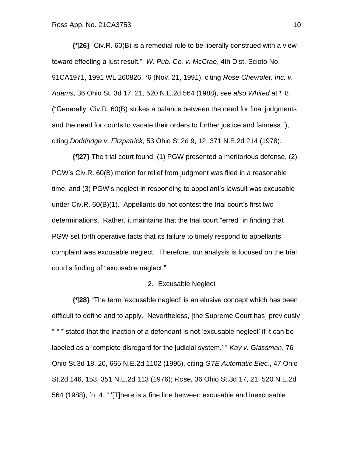**{¶26}** "Civ.R. 60(B) is a remedial rule to be liberally construed with a view toward effecting a just result." *W. Pub. Co. v. McCrae*, 4th Dist. Scioto No. 91CA1971, 1991 WL 260826, \*6 (Nov. 21, 1991), citing *Rose Chevrolet, Inc. v. Adams*, 36 Ohio St. 3d 17, 21, 520 N.E.2d 564 (1988), *see also Whited* at ¶ 8 ("Generally, Civ.R. 60(B) strikes a balance between the need for final judgments and the need for courts to vacate their orders to further justice and fairness."), citing *Doddridge v. Fitzpatrick*, 53 Ohio St.2d 9, 12, 371 N.E.2d 214 (1978).

 **{¶27}** The trial court found: (1) PGW presented a meritorious defense, (2) PGW's Civ.R. 60(B) motion for relief from judgment was filed in a reasonable time, and (3) PGW's neglect in responding to appellant's lawsuit was excusable under Civ.R. 60(B)(1). Appellants do not contest the trial court's first two determinations. Rather, it maintains that the trial court "erred" in finding that PGW set forth operative facts that its failure to timely respond to appellants' complaint was excusable neglect. Therefore, our analysis is focused on the trial court's finding of "excusable neglect."

#### 2. Excusable Neglect

**{¶28}** "The term 'excusable neglect' is an elusive concept which has been difficult to define and to apply. Nevertheless, [the Supreme Court has] previously \* \* \* stated that the inaction of a defendant is not 'excusable neglect' if it can be labeled as a 'complete disregard for the judicial system.' " *Kay v. Glassman*, 76 Ohio St.3d 18, 20, 665 N.E.2d 1102 (1996), citing *GTE Automatic Elec.*, 47 Ohio St.2d 146, 153, 351 N.E.2d 113 (1976); *Rose*, 36 Ohio St.3d 17, 21, 520 N.E.2d 564 (1988), fn. 4. " '[T]here is a fine line between excusable and inexcusable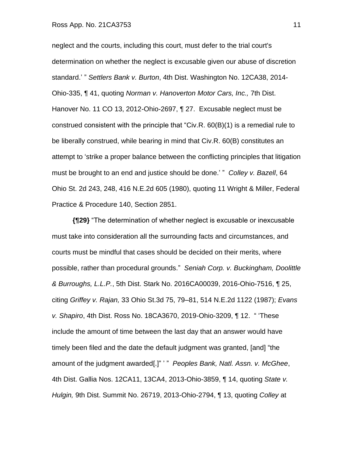neglect and the courts, including this court, must defer to the trial court's determination on whether the neglect is excusable given our abuse of discretion standard.' " *Settlers Bank v. Burton*, 4th Dist. Washington No. 12CA38, 2014- Ohio-335, ¶ 41, quoting *Norman v. Hanoverton Motor Cars, Inc.,* 7th Dist. Hanover No. 11 CO 13, 2012-Ohio-2697, ¶ 27. Excusable neglect must be construed consistent with the principle that "Civ.R. 60(B)(1) is a remedial rule to be liberally construed, while bearing in mind that Civ.R. 60(B) constitutes an attempt to 'strike a proper balance between the conflicting principles that litigation must be brought to an end and justice should be done.' " *Colley v. Bazell*, 64 Ohio St. 2d 243, 248, 416 N.E.2d 605 (1980), quoting 11 Wright & Miller, Federal Practice & Procedure 140, Section 2851.

**{¶29}** "The determination of whether neglect is excusable or inexcusable must take into consideration all the surrounding facts and circumstances, and courts must be mindful that cases should be decided on their merits, where possible, rather than procedural grounds." *Seniah Corp. v. Buckingham, Doolittle & Burroughs, L.L.P.*, 5th Dist. Stark No. 2016CA00039, 2016-Ohio-7516, ¶ 25, citing *Griffey v. Rajan,* 33 Ohio St.3d 75, 79–81, 514 N.E.2d 1122 (1987); *Evans v. Shapiro*, 4th Dist. Ross No. 18CA3670, 2019-Ohio-3209, ¶ 12. " 'These include the amount of time between the last day that an answer would have timely been filed and the date the default judgment was granted, [and] "the amount of the judgment awarded[.]" ' " *Peoples Bank, Natl. Assn. v. McGhee*, 4th Dist. Gallia Nos. 12CA11, 13CA4, 2013-Ohio-3859, ¶ 14, quoting *State v. Hulgin,* 9th Dist. Summit No. 26719, 2013-Ohio-2794, ¶ 13, quoting *Colley* at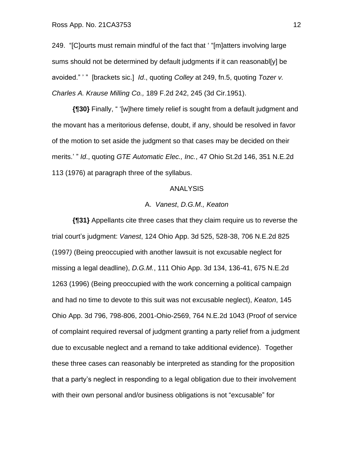249. "[C]ourts must remain mindful of the fact that ' "[m]atters involving large sums should not be determined by default judgments if it can reasonabl[y] be avoided." ' " [brackets sic.] *Id*., quoting *Colley* at 249, fn.5, quoting *Tozer v. Charles A. Krause Milling Co.,* 189 F.2d 242, 245 (3d Cir.1951).

**{¶30}** Finally, " '[w]here timely relief is sought from a default judgment and the movant has a meritorious defense, doubt, if any, should be resolved in favor of the motion to set aside the judgment so that cases may be decided on their merits.' " *Id*., quoting *GTE Automatic Elec., Inc.*, 47 Ohio St.2d 146, 351 N.E.2d 113 (1976) at paragraph three of the syllabus.

#### ANALYSIS

#### A. *Vanest*, *D.G.M., Keaton*

**{¶31}** Appellants cite three cases that they claim require us to reverse the trial court's judgment: *Vanest*, 124 Ohio App. 3d 525, 528-38, 706 N.E.2d 825 (1997*)* (Being preoccupied with another lawsuit is not excusable neglect for missing a legal deadline), *D.G.M.*, 111 Ohio App. 3d 134, 136-41, 675 N.E.2d 1263 (1996) (Being preoccupied with the work concerning a political campaign and had no time to devote to this suit was not excusable neglect), *Keaton*, 145 Ohio App. 3d 796, 798-806, 2001-Ohio-2569, 764 N.E.2d 1043 (Proof of service of complaint required reversal of judgment granting a party relief from a judgment due to excusable neglect and a remand to take additional evidence). Together these three cases can reasonably be interpreted as standing for the proposition that a party's neglect in responding to a legal obligation due to their involvement with their own personal and/or business obligations is not "excusable" for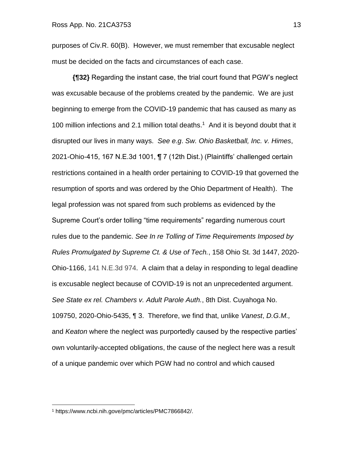purposes of Civ.R. 60(B). However, we must remember that excusable neglect must be decided on the facts and circumstances of each case.

**{¶32}** Regarding the instant case, the trial court found that PGW's neglect was excusable because of the problems created by the pandemic. We are just beginning to emerge from the COVID-19 pandemic that has caused as many as 100 million infections and 2.1 million total deaths.<sup>1</sup> And it is beyond doubt that it disrupted our lives in many ways. *See e.g*. *Sw. Ohio Basketball, Inc. v. Himes*, 2021-Ohio-415, 167 N.E.3d 1001, ¶ 7 (12th Dist.) (Plaintiffs' challenged certain restrictions contained in a health order pertaining to COVID-19 that governed the resumption of sports and was ordered by the Ohio Department of Health). The legal profession was not spared from such problems as evidenced by the Supreme Court's order tolling "time requirements" regarding numerous court rules due to the pandemic. *See In re Tolling of Time Requirements Imposed by Rules Promulgated by Supreme Ct. & Use of Tech.*, 158 Ohio St. 3d 1447, 2020- Ohio-1166, 141 N.E.3d 974. A claim that a delay in responding to legal deadline is excusable neglect because of COVID-19 is not an unprecedented argument. *See State ex rel. Chambers v. Adult Parole Auth.*, 8th Dist. Cuyahoga No. 109750, 2020-Ohio-5435, ¶ 3. Therefore, we find that, unlike *Vanest*, *D.G.M.,* and *Keaton* where the neglect was purportedly caused by the respective parties' own voluntarily-accepted obligations, the cause of the neglect here was a result of a unique pandemic over which PGW had no control and which caused

<sup>1</sup> https://www.ncbi.nih.gove/pmc/articles/PMC7866842/.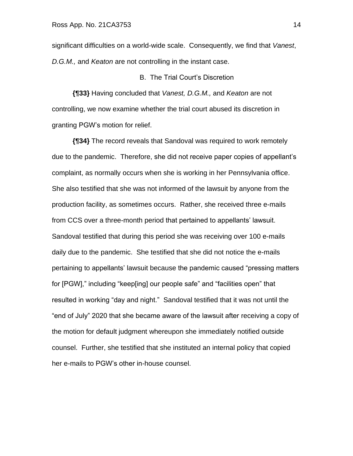significant difficulties on a world-wide scale. Consequently, we find that *Vanest*, *D.G.M.,* and *Keaton* are not controlling in the instant case.

B. The Trial Court's Discretion

**{¶33}** Having concluded that *Vanest, D.G.M.,* and *Keaton* are not controlling, we now examine whether the trial court abused its discretion in granting PGW's motion for relief.

**{¶34}** The record reveals that Sandoval was required to work remotely due to the pandemic. Therefore, she did not receive paper copies of appellant's complaint, as normally occurs when she is working in her Pennsylvania office. She also testified that she was not informed of the lawsuit by anyone from the production facility, as sometimes occurs. Rather, she received three e-mails from CCS over a three-month period that pertained to appellants' lawsuit. Sandoval testified that during this period she was receiving over 100 e-mails daily due to the pandemic. She testified that she did not notice the e-mails pertaining to appellants' lawsuit because the pandemic caused "pressing matters for [PGW]," including "keep[ing] our people safe" and "facilities open" that resulted in working "day and night." Sandoval testified that it was not until the "end of July" 2020 that she became aware of the lawsuit after receiving a copy of the motion for default judgment whereupon she immediately notified outside counsel. Further, she testified that she instituted an internal policy that copied her e-mails to PGW's other in-house counsel.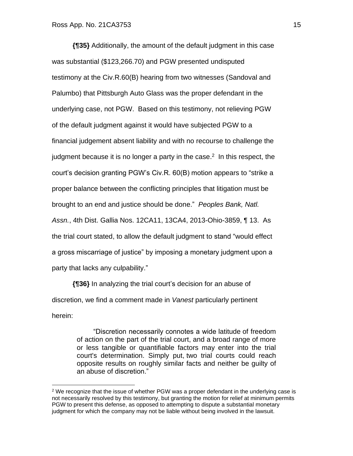**{¶35}** Additionally, the amount of the default judgment in this case was substantial (\$123,266.70) and PGW presented undisputed testimony at the Civ.R.60(B) hearing from two witnesses (Sandoval and Palumbo) that Pittsburgh Auto Glass was the proper defendant in the underlying case, not PGW. Based on this testimony, not relieving PGW of the default judgment against it would have subjected PGW to a financial judgement absent liability and with no recourse to challenge the judgment because it is no longer a party in the case.<sup>2</sup> In this respect, the court's decision granting PGW's Civ.R. 60(B) motion appears to "strike a proper balance between the conflicting principles that litigation must be brought to an end and justice should be done." *Peoples Bank, Natl. Assn.*, 4th Dist. Gallia Nos. 12CA11, 13CA4, 2013-Ohio-3859, ¶ 13. As the trial court stated, to allow the default judgment to stand "would effect a gross miscarriage of justice" by imposing a monetary judgment upon a party that lacks any culpability."

**{¶36}** In analyzing the trial court's decision for an abuse of discretion, we find a comment made in *Vanest* particularly pertinent herein:

> "Discretion necessarily connotes a wide latitude of freedom of action on the part of the trial court, and a broad range of more or less tangible or quantifiable factors may enter into the trial court's determination. Simply put, two trial courts could reach opposite results on roughly similar facts and neither be guilty of an abuse of discretion."

 $2$  We recognize that the issue of whether PGW was a proper defendant in the underlying case is not necessarily resolved by this testimony, but granting the motion for relief at minimum permits PGW to present this defense, as opposed to attempting to dispute a substantial monetary judgment for which the company may not be liable without being involved in the lawsuit.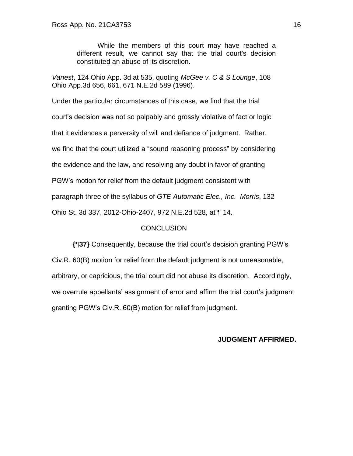While the members of this court may have reached a different result, we cannot say that the trial court's decision constituted an abuse of its discretion.

*Vanest*, 124 Ohio App. 3d at 535, quoting *McGee v. C & S Lounge*, 108 Ohio App.3d 656, 661, 671 N.E.2d 589 (1996).

Under the particular circumstances of this case, we find that the trial court's decision was not so palpably and grossly violative of fact or logic that it evidences a perversity of will and defiance of judgment. Rather, we find that the court utilized a "sound reasoning process" by considering the evidence and the law, and resolving any doubt in favor of granting PGW's motion for relief from the default judgment consistent with paragraph three of the syllabus of *GTE Automatic Elec., Inc. Morris*, 132 Ohio St. 3d 337, 2012-Ohio-2407, 972 N.E.2d 528, at ¶ 14.

## **CONCLUSION**

**{¶37}** Consequently, because the trial court's decision granting PGW's

Civ.R. 60(B) motion for relief from the default judgment is not unreasonable, arbitrary, or capricious, the trial court did not abuse its discretion. Accordingly, we overrule appellants' assignment of error and affirm the trial court's judgment granting PGW's Civ.R. 60(B) motion for relief from judgment.

## **JUDGMENT AFFIRMED.**